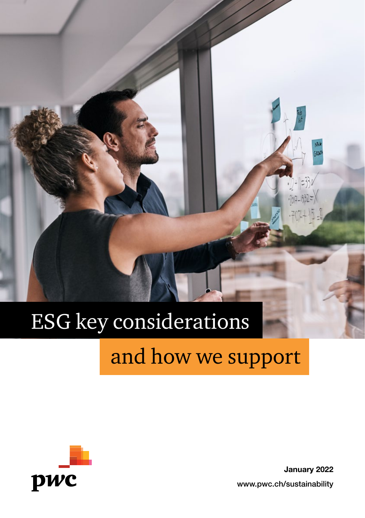# ESG key considerations

### and how we support



January 2022 www.pwc.ch/sustainability

N<sub>3</sub>k **GONT**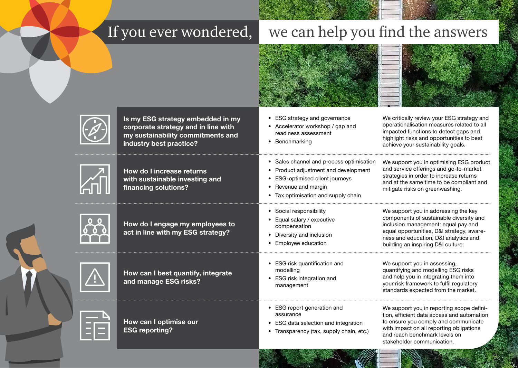## If you ever wondered, we can help you find the answers





Is my ESG strategy embedded in my corporate strategy and in line with my sustainability commitments and industry best practice?



How do I increase returns with sustainable investing and financing solutions?



How do I engage my employees to act in line with my ESG strategy?



How can I best quantify, integrate and manage ESG risks?

How can I optimise our ESG reporting?

- ESG strategy and governance
	- Accelerator workshop / gap and readiness assessment
	- Benchmarking
- Sales channel and process optimisation
- Product adjustment and development
- ESG-optimised client journeys
- Revenue and margin
- Tax optimisation and supply chain
- Social responsibility
- Equal salary / executive compensation
- Diversity and inclusion
- Employee education
- ESG risk quantification and modelling
- ESG risk integration and management
- ESG report generation and assurance
- ESG data selection and integration
- Transparency (tax, supply chain, etc.)

operationalisation measures related to all impacted functions to detect gaps and highlight risks and opportunities to best achieve your sustainability goals.

We critically review your ESG strategy and

We support you in optimising ESG product and service offerings and go-to-market strategies in order to increase returns and at the same time to be compliant and mitigate risks on greenwashing.

We support you in addressing the key components of sustainable diversity and inclusion management: equal pay and equal opportunities, D&I strategy, awareness and education, D&I analytics and building an inspiring D&I culture.

We support you in assessing, quantifying and modelling ESG risks and help you in integrating them into your risk framework to fulfil regulatory standards expected from the market.

We support you in reporting scope definition, efficient data access and automation to ensure you comply and communicate with impact on all reporting obligations and reach benchmark levels on stakeholder communication.